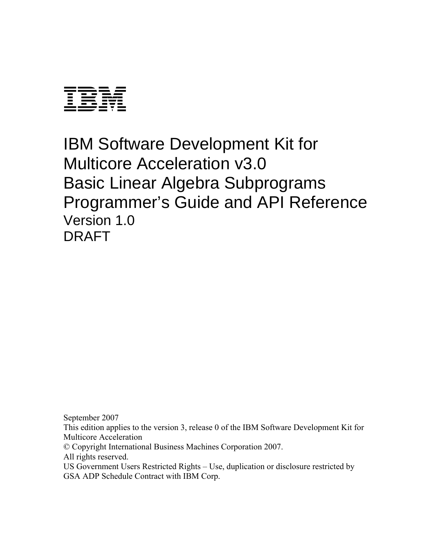

IBM Software Development Kit for Multicore Acceleration v3.0 Basic Linear Algebra Subprograms Programmer's Guide and API Reference Version 1.0 DRAFT

September 2007 This edition applies to the version 3, release 0 of the IBM Software Development Kit for Multicore Acceleration © Copyright International Business Machines Corporation 2007. All rights reserved. US Government Users Restricted Rights – Use, duplication or disclosure restricted by

GSA ADP Schedule Contract with IBM Corp.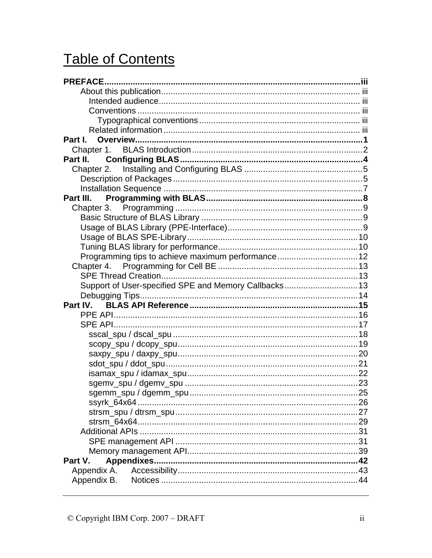# **Table of Contents**

| Part II.                                              |  |
|-------------------------------------------------------|--|
|                                                       |  |
|                                                       |  |
|                                                       |  |
| Part III.                                             |  |
|                                                       |  |
|                                                       |  |
|                                                       |  |
|                                                       |  |
|                                                       |  |
| Programming tips to achieve maximum performance 12    |  |
|                                                       |  |
|                                                       |  |
| Support of User-specified SPE and Memory Callbacks 13 |  |
|                                                       |  |
| Part IV.                                              |  |
|                                                       |  |
|                                                       |  |
|                                                       |  |
|                                                       |  |
|                                                       |  |
|                                                       |  |
|                                                       |  |
|                                                       |  |
|                                                       |  |
|                                                       |  |
|                                                       |  |
|                                                       |  |
|                                                       |  |
|                                                       |  |
| Part V.                                               |  |
| Appendix A.                                           |  |
| Appendix B.                                           |  |
|                                                       |  |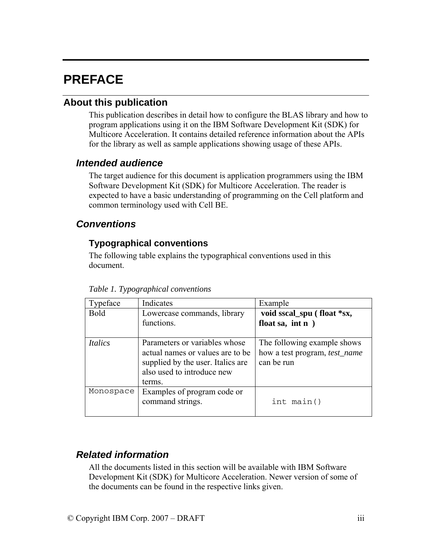# <span id="page-2-0"></span>**PREFACE**

## **About this publication**

This publication describes in detail how to configure the BLAS library and how to program applications using it on the IBM Software Development Kit (SDK) for Multicore Acceleration. It contains detailed reference information about the APIs for the library as well as sample applications showing usage of these APIs.

## *Intended audience*

The target audience for this document is application programmers using the IBM Software Development Kit (SDK) for Multicore Acceleration. The reader is expected to have a basic understanding of programming on the Cell platform and common terminology used with Cell BE.

## *Conventions*

## **Typographical conventions**

The following table explains the typographical conventions used in this document.

| Typeface       | Indicates                                                                                                                                      | Example                                                                           |
|----------------|------------------------------------------------------------------------------------------------------------------------------------------------|-----------------------------------------------------------------------------------|
| <b>Bold</b>    | Lowercase commands, library<br>functions.                                                                                                      | void sscal_spu (float *sx,<br>float sa, int $n$ )                                 |
| <b>Italics</b> | Parameters or variables whose<br>actual names or values are to be<br>supplied by the user. Italics are<br>also used to introduce new<br>terms. | The following example shows<br>how a test program, <i>test_name</i><br>can be run |
| Monospace      | Examples of program code or<br>command strings.                                                                                                | int main()                                                                        |

*Table 1. Typographical conventions* 

## *Related information*

All the documents listed in this section will be available with IBM Software Development Kit (SDK) for Multicore Acceleration. Newer version of some of the documents can be found in the respective links given.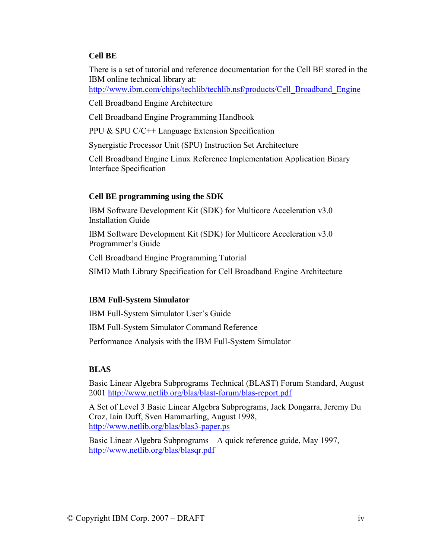#### **Cell BE**

There is a set of tutorial and reference documentation for the Cell BE stored in the IBM online technical library at:

http://www.ibm.com/chips/techlib/techlib.nsf/products/Cell\_Broadband\_Engine

Cell Broadband Engine Architecture

Cell Broadband Engine Programming Handbook

[PPU & SPU C/C++ Language Extension Specification](http://www-01.ibm.com/chips/techlib/techlib.nsf/techdocs/30B3520C93F437AB87257060006FFE5E) 

Synergistic Processor Unit (SPU) Instruction Set Architecture

Cell Broadband Engine Linux Reference Implementation Application Binary Interface Specification

#### **Cell BE programming using the SDK**

IBM Software Development Kit (SDK) for Multicore Acceleration v3.0 Installation Guide

IBM Software Development Kit (SDK) for Multicore Acceleration v3.0 Programmer's Guide

Cell Broadband Engine Programming Tutorial

SIMD Math Library Specification for Cell Broadband Engine Architecture

#### **IBM Full-System Simulator**

IBM Full-System Simulator User's Guide

IBM Full-System Simulator Command Reference

Performance Analysis with the IBM Full-System Simulator

#### **BLAS**

Basic Linear Algebra Subprograms Technical (BLAST) Forum Standard, August 2001 <http://www.netlib.org/blas/blast-forum/blas-report.pdf>

A Set of Level 3 Basic Linear Algebra Subprograms, Jack Dongarra, Jeremy Du Croz, Iain Duff, Sven Hammarling, August 1998, <http://www.netlib.org/blas/blas3-paper.ps>

Basic Linear Algebra Subprograms – A quick reference guide, May 1997, <http://www.netlib.org/blas/blasqr.pdf>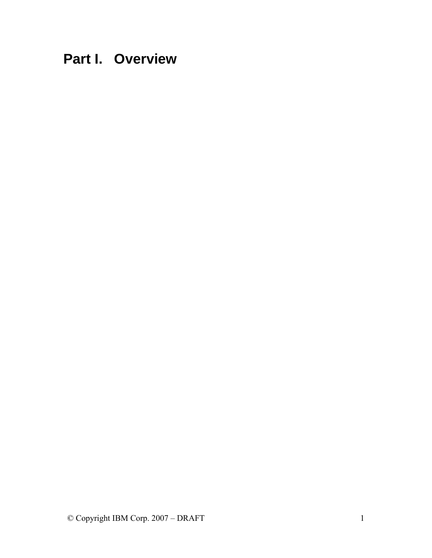<span id="page-4-0"></span>**Part I. Overview**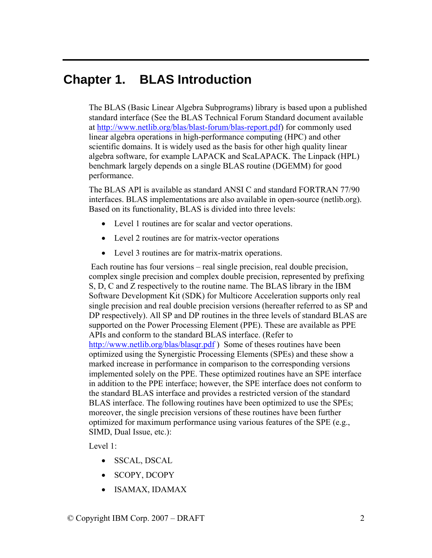## <span id="page-5-0"></span>**Chapter 1. BLAS Introduction**

The BLAS (Basic Linear Algebra Subprograms) library is based upon a published standard interface (See the BLAS Technical Forum Standard document available at [http://www.netlib.org/blas/blast-forum/blas-report.pdf\)](http://www.netlib.org/blas/blast-forum/blas-report.pdf) for commonly used linear algebra operations in high-performance computing (HPC) and other scientific domains. It is widely used as the basis for other high quality linear algebra software, for example LAPACK and ScaLAPACK. The Linpack (HPL) benchmark largely depends on a single BLAS routine (DGEMM) for good performance.

The BLAS API is available as standard ANSI C and standard FORTRAN 77/90 interfaces. BLAS implementations are also available in open-source (netlib.org). Based on its functionality, BLAS is divided into three levels:

- Level 1 routines are for scalar and vector operations.
- Level 2 routines are for matrix-vector operations
- Level 3 routines are for matrix-matrix operations.

 Each routine has four versions – real single precision, real double precision, complex single precision and complex double precision, represented by prefixing S, D, C and Z respectively to the routine name. The BLAS library in the IBM Software Development Kit (SDK) for Multicore Acceleration supports only real single precision and real double precision versions (hereafter referred to as SP and DP respectively). All SP and DP routines in the three levels of standard BLAS are supported on the Power Processing Element (PPE). These are available as PPE APIs and conform to the standard BLAS interface. (Refer to <http://www.netlib.org/blas/blasqr.pdf> ) Some of theses routines have been optimized using the Synergistic Processing Elements (SPEs) and these show a marked increase in performance in comparison to the corresponding versions implemented solely on the PPE. These optimized routines have an SPE interface in addition to the PPE interface; however, the SPE interface does not conform to the standard BLAS interface and provides a restricted version of the standard BLAS interface. The following routines have been optimized to use the SPEs; moreover, the single precision versions of these routines have been further optimized for maximum performance using various features of the SPE (e.g., SIMD, Dual Issue, etc.):

Level 1:

- SSCAL, DSCAL
- SCOPY, DCOPY
- ISAMAX, IDAMAX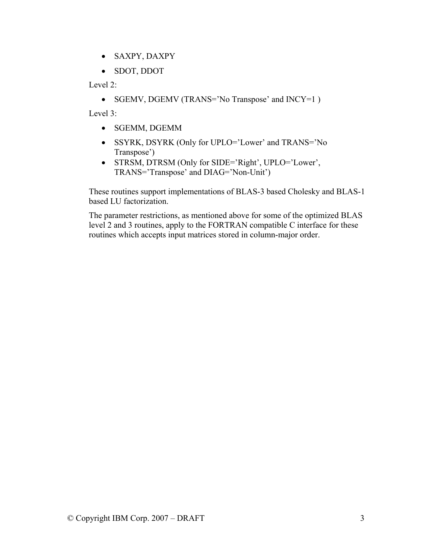- SAXPY, DAXPY
- SDOT, DDOT

Level 2:

• SGEMV, DGEMV (TRANS='No Transpose' and INCY=1)

Level 3:

- SGEMM, DGEMM
- SSYRK, DSYRK (Only for UPLO='Lower' and TRANS='No Transpose')
- STRSM, DTRSM (Only for SIDE='Right', UPLO='Lower', TRANS='Transpose' and DIAG='Non-Unit')

These routines support implementations of BLAS-3 based Cholesky and BLAS-1 based LU factorization.

The parameter restrictions, as mentioned above for some of the optimized BLAS level 2 and 3 routines, apply to the FORTRAN compatible C interface for these routines which accepts input matrices stored in column-major order.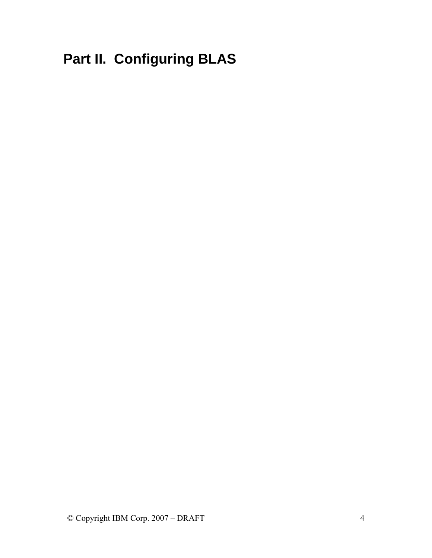# <span id="page-7-0"></span>**Part II. Configuring BLAS**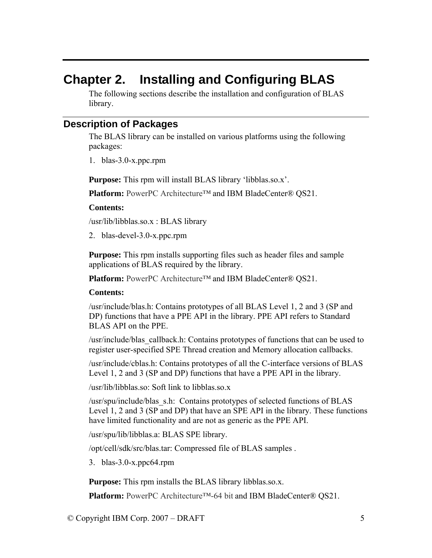# <span id="page-8-0"></span>**Chapter 2. Installing and Configuring BLAS**

The following sections describe the installation and configuration of BLAS library.

## **Description of Packages**

The BLAS library can be installed on various platforms using the following packages:

1. blas-3.0-x.ppc.rpm

**Purpose:** This rpm will install BLAS library 'libblas.so.x'.

**Platform:** PowerPC Architecture™ and IBM BladeCenter® QS21.

#### **Contents:**

/usr/lib/libblas.so.x : BLAS library

2. blas-devel-3.0-x.ppc.rpm

**Purpose:** This rpm installs supporting files such as header files and sample applications of BLAS required by the library.

**Platform:** PowerPC Architecture™ and IBM BladeCenter® QS21.

#### **Contents:**

/usr/include/blas.h: Contains prototypes of all BLAS Level 1, 2 and 3 (SP and DP) functions that have a PPE API in the library. PPE API refers to Standard BLAS API on the PPE.

/usr/include/blas\_callback.h: Contains prototypes of functions that can be used to register user-specified SPE Thread creation and Memory allocation callbacks.

/usr/include/cblas.h: Contains prototypes of all the C-interface versions of BLAS Level 1, 2 and 3 (SP and DP) functions that have a PPE API in the library.

/usr/lib/libblas.so: Soft link to libblas.so.x

/usr/spu/include/blas\_s.h: Contains prototypes of selected functions of BLAS Level 1, 2 and 3 (SP and DP) that have an SPE API in the library. These functions have limited functionality and are not as generic as the PPE API.

/usr/spu/lib/libblas.a: BLAS SPE library.

/opt/cell/sdk/src/blas.tar: Compressed file of BLAS samples .

3. blas-3.0-x.ppc64.rpm

**Purpose:** This rpm installs the BLAS library libblas.so.x.

**Platform:** PowerPC Architecture™-64 bit and IBM BladeCenter® QS21.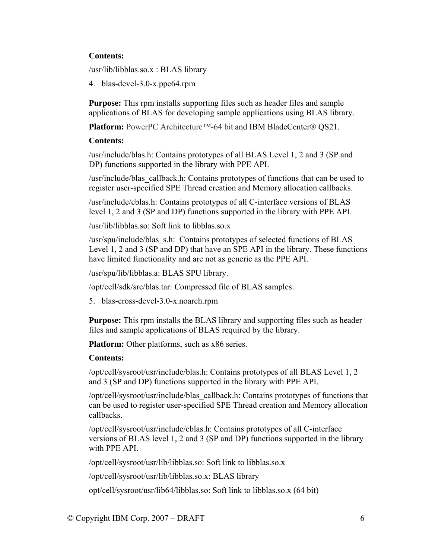#### **Contents:**

/usr/lib/libblas.so.x : BLAS library

4. blas-devel-3.0-x.ppc64.rpm

**Purpose:** This rpm installs supporting files such as header files and sample applications of BLAS for developing sample applications using BLAS library.

**Platform:** PowerPC Architecture™-64 bit and IBM BladeCenter® QS21.

#### **Contents:**

/usr/include/blas.h: Contains prototypes of all BLAS Level 1, 2 and 3 (SP and DP) functions supported in the library with PPE API.

/usr/include/blas\_callback.h: Contains prototypes of functions that can be used to register user-specified SPE Thread creation and Memory allocation callbacks.

/usr/include/cblas.h: Contains prototypes of all C-interface versions of BLAS level 1, 2 and 3 (SP and DP) functions supported in the library with PPE API.

/usr/lib/libblas.so: Soft link to libblas.so.x

/usr/spu/include/blas\_s.h: Contains prototypes of selected functions of BLAS Level 1, 2 and 3 (SP and DP) that have an SPE API in the library. These functions have limited functionality and are not as generic as the PPE API.

/usr/spu/lib/libblas.a: BLAS SPU library.

/opt/cell/sdk/src/blas.tar: Compressed file of BLAS samples.

5. blas-cross-devel-3.0-x.noarch.rpm

**Purpose:** This rpm installs the BLAS library and supporting files such as header files and sample applications of BLAS required by the library.

**Platform:** Other platforms, such as x86 series.

#### **Contents:**

/opt/cell/sysroot/usr/include/blas.h: Contains prototypes of all BLAS Level 1, 2 and 3 (SP and DP) functions supported in the library with PPE API.

/opt/cell/sysroot/usr/include/blas\_callback.h: Contains prototypes of functions that can be used to register user-specified SPE Thread creation and Memory allocation callbacks.

/opt/cell/sysroot/usr/include/cblas.h: Contains prototypes of all C-interface versions of BLAS level 1, 2 and 3 (SP and DP) functions supported in the library with PPE API.

/opt/cell/sysroot/usr/lib/libblas.so: Soft link to libblas.so.x

/opt/cell/sysroot/usr/lib/libblas.so.x: BLAS library

opt/cell/sysroot/usr/lib64/libblas.so: Soft link to libblas.so.x (64 bit)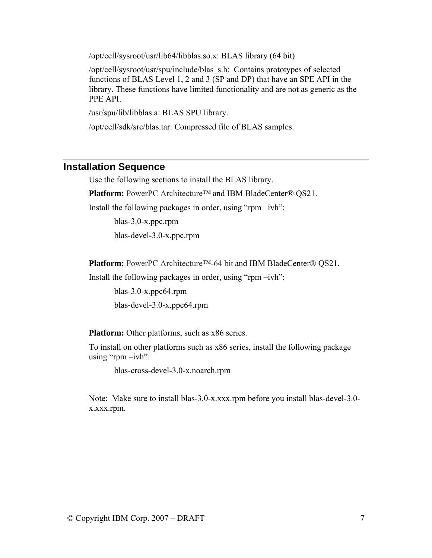<span id="page-10-0"></span>/opt/cell/sysroot/usr/lib64/libblas.so.x: BLAS library (64 bit)

/opt/cell/sysroot/usr/spu/include/blas\_s.h: Contains prototypes of selected functions of BLAS Level 1, 2 and 3 (SP and DP) that have an SPE API in the library. These functions have limited functionality and are not as generic as the PPE API.

/usr/spu/lib/libblas.a: BLAS SPU library.

/opt/cell/sdk/src/blas.tar: Compressed file of BLAS samples.

#### **Installation Sequence**

Use the following sections to install the BLAS library.

**Platform:** PowerPC Architecture™ and IBM BladeCenter® QS21.

Install the following packages in order, using "rpm –ivh":

blas-3.0-x.ppc.rpm blas-devel-3.0-x.ppc.rpm

**Platform:** PowerPC Architecture™-64 bit and IBM BladeCenter® QS21.

Install the following packages in order, using "rpm –ivh":

blas-3.0-x.ppc64.rpm blas-devel-3.0-x.ppc64.rpm

**Platform:** Other platforms, such as x86 series.

To install on other platforms such as x86 series, install the following package using "rpm  $-i\nu$ h":

blas-cross-devel-3.0-x.noarch.rpm

Note: Make sure to install blas-3.0-x.xxx.rpm before you install blas-devel-3.0 x.xxx.rpm.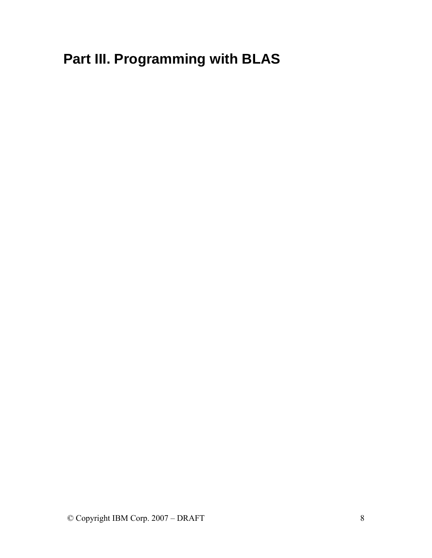<span id="page-11-0"></span>**Part III. Programming with BLAS**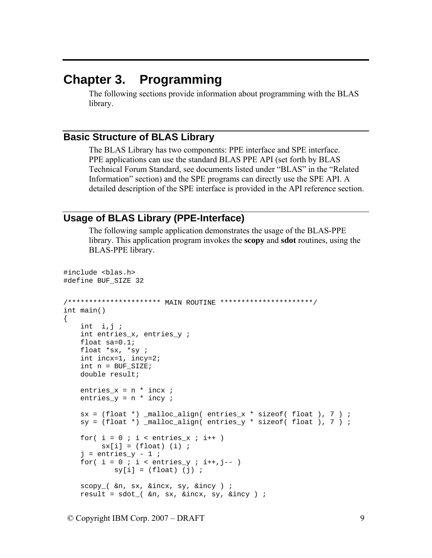## <span id="page-12-0"></span>**Chapter 3. Programming**

The following sections provide information about programming with the BLAS library.

## **Basic Structure of BLAS Library**

The BLAS Library has two components: PPE interface and SPE interface. PPE applications can use the standard BLAS PPE API (set forth by BLAS Technical Forum Standard, see documents listed under "BLAS" in the "Related Information" section) and the SPE programs can directly use the SPE API. A detailed description of the SPE interface is provided in the API reference section.

## **Usage of BLAS Library (PPE-Interface)**

The following sample application demonstrates the usage of the BLAS-PPE library. This application program invokes the **scopy** and **sdot** routines, using the BLAS-PPE library.

```
#include <blas.h>
#define BUF_SIZE 32 
/********************** MAIN ROUTINE **********************/ 
int main() 
{ 
    int \; i,j;int entries x, entries y ;
    float sa=0.1; 
    float *sx, *sy ; 
    int incx=1, incy=2; 
   int n = BUF SLZE; double result; 
   entries x = n * incx ;
   entries_y = n * incy;
   sx = (float * ) _malloc\_align( entries_x * size of ( float ), 7 ) ;
   sy = (float * ) _{malloc\_align( entries_y * sizeof( float ), 7 ) ;
   for( i = 0 ; i < entries_x ; i++ )
         sx[i] = (float) (i);
    j = entries_y - 1 ;
    for( i = 0 ; i < entries_y ; i++, j-- )
            sy[i] = (float) (j);
    scopy_( &n, sx, &incx, sy, &incy ) ; 
   result = sdot( &n, sx, &incx, sy, &incy ) ;
```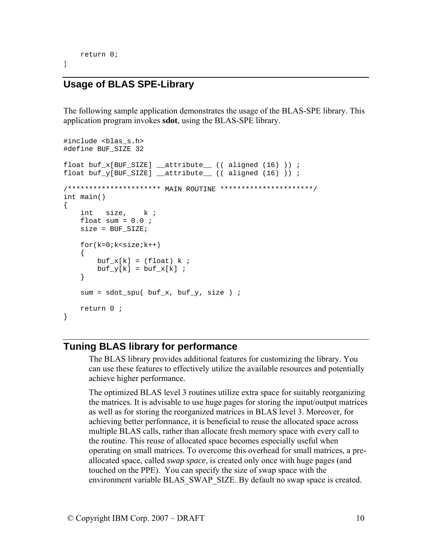```
 return 0;
```
<span id="page-13-0"></span>}

## **Usage of BLAS SPE-Library**

The following sample application demonstrates the usage of the BLAS-SPE library. This application program invokes **sdot**, using the BLAS-SPE library.

```
#include <blas s.h>
#define BUF_SIZE 32 
float buf_x[BUF_SIZE] __attribute__ (( aligned (16) )) ; 
float buf_y[BUF_SIZE] __attribute__ (( aligned (16) )) ; 
/********************** MAIN ROUTINE **********************/ 
int main() 
{ 
     int size, k ; 
    float sum = 0.0 ;
     size = BUF_SIZE; 
    for(k=0; k<size;k++) { 
        buf x[k] = (float) k;
        buf_y[k] = buf_x[k] ;
     } 
    sum = sdot_spu( buf_x, buf_y, size) ;
     return 0 ; 
}
```
#### **Tuning BLAS library for performance**

The BLAS library provides additional features for customizing the library. You can use these features to effectively utilize the available resources and potentially achieve higher performance.

The optimized BLAS level 3 routines utilize extra space for suitably reorganizing the matrices. It is advisable to use huge pages for storing the input/output matrices as well as for storing the reorganized matrices in BLAS level 3. Moreover, for achieving better performance, it is beneficial to reuse the allocated space across multiple BLAS calls, rather than allocate fresh memory space with every call to the routine. This reuse of allocated space becomes especially useful when operating on small matrices. To overcome this overhead for small matrices, a preallocated space, called *swap space,* is created only once with huge pages (and touched on the PPE). You can specify the size of swap space with the environment variable BLAS\_SWAP\_SIZE. By default no swap space is created.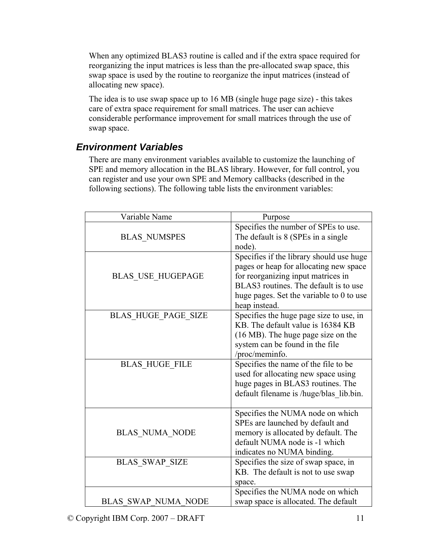When any optimized BLAS3 routine is called and if the extra space required for reorganizing the input matrices is less than the pre-allocated swap space, this swap space is used by the routine to reorganize the input matrices (instead of allocating new space).

The idea is to use swap space up to 16 MB (single huge page size) - this takes care of extra space requirement for small matrices. The user can achieve considerable performance improvement for small matrices through the use of swap space.

## *Environment Variables*

There are many environment variables available to customize the launching of SPE and memory allocation in the BLAS library. However, for full control, you can register and use your own SPE and Memory callbacks (described in the following sections). The following table lists the environment variables:

| Variable Name              | Purpose                                                                                                                                                                                                       |
|----------------------------|---------------------------------------------------------------------------------------------------------------------------------------------------------------------------------------------------------------|
|                            | Specifies the number of SPEs to use.                                                                                                                                                                          |
| <b>BLAS NUMSPES</b>        | The default is 8 (SPEs in a single<br>node).                                                                                                                                                                  |
| <b>BLAS USE HUGEPAGE</b>   | Specifies if the library should use huge<br>pages or heap for allocating new space<br>for reorganizing input matrices in<br>BLAS3 routines. The default is to use<br>huge pages. Set the variable to 0 to use |
| <b>BLAS HUGE PAGE SIZE</b> | heap instead.<br>Specifies the huge page size to use, in                                                                                                                                                      |
|                            | KB. The default value is 16384 KB                                                                                                                                                                             |
|                            | (16 MB). The huge page size on the<br>system can be found in the file                                                                                                                                         |
|                            | /proc/meminfo.                                                                                                                                                                                                |
| <b>BLAS HUGE FILE</b>      | Specifies the name of the file to be                                                                                                                                                                          |
|                            | used for allocating new space using                                                                                                                                                                           |
|                            | huge pages in BLAS3 routines. The                                                                                                                                                                             |
|                            | default filename is /huge/blas lib.bin.                                                                                                                                                                       |
|                            | Specifies the NUMA node on which                                                                                                                                                                              |
|                            | SPEs are launched by default and                                                                                                                                                                              |
| <b>BLAS NUMA NODE</b>      | memory is allocated by default. The<br>default NUMA node is -1 which                                                                                                                                          |
|                            | indicates no NUMA binding.                                                                                                                                                                                    |
| <b>BLAS SWAP SIZE</b>      | Specifies the size of swap space, in                                                                                                                                                                          |
|                            | KB. The default is not to use swap                                                                                                                                                                            |
|                            | space.                                                                                                                                                                                                        |
|                            | Specifies the NUMA node on which                                                                                                                                                                              |
| <b>BLAS SWAP NUMA NODE</b> | swap space is allocated. The default                                                                                                                                                                          |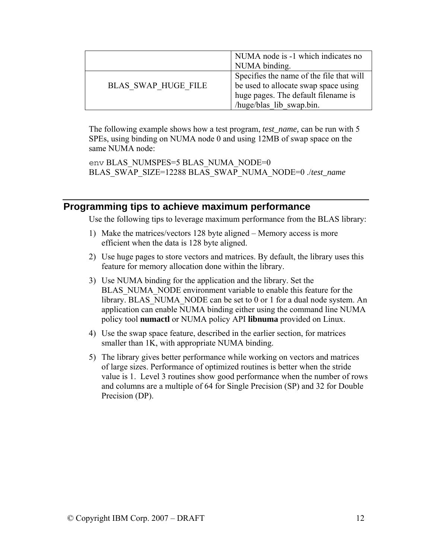<span id="page-15-0"></span>

|                            | NUMA node is -1 which indicates no       |
|----------------------------|------------------------------------------|
|                            | NUMA binding.                            |
|                            | Specifies the name of the file that will |
| <b>BLAS SWAP HUGE FILE</b> | be used to allocate swap space using     |
|                            | huge pages. The default filename is      |
|                            | /huge/blas lib swap.bin.                 |

The following example shows how a test program, *test\_name,* can be run with 5 SPEs, using binding on NUMA node 0 and using 12MB of swap space on the same NUMA node:

env BLAS\_NUMSPES=5 BLAS\_NUMA\_NODE=0 BLAS\_SWAP\_SIZE=12288 BLAS\_SWAP\_NUMA\_NODE=0 ./*test\_name*

## **Programming tips to achieve maximum performance**

Use the following tips to leverage maximum performance from the BLAS library:

- 1) Make the matrices/vectors 128 byte aligned Memory access is more efficient when the data is 128 byte aligned.
- 2) Use huge pages to store vectors and matrices. By default, the library uses this feature for memory allocation done within the library.
- 3) Use NUMA binding for the application and the library. Set the BLAS\_NUMA\_NODE environment variable to enable this feature for the library. BLAS NUMA NODE can be set to 0 or 1 for a dual node system. An application can enable NUMA binding either using the command line NUMA policy tool **numactl** or NUMA policy API **libnuma** provided on Linux.
- 4) Use the swap space feature, described in the earlier section, for matrices smaller than 1K, with appropriate NUMA binding.
- 5) The library gives better performance while working on vectors and matrices of large sizes. Performance of optimized routines is better when the stride value is 1. Level 3 routines show good performance when the number of rows and columns are a multiple of 64 for Single Precision (SP) and 32 for Double Precision (DP).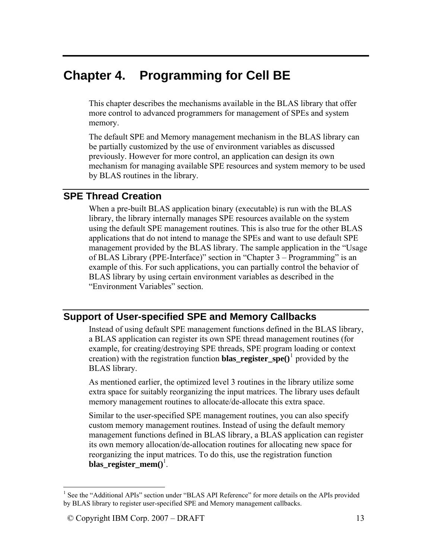## <span id="page-16-0"></span>**Chapter 4. Programming for Cell BE**

This chapter describes the mechanisms available in the BLAS library that offer more control to advanced programmers for management of SPEs and system memory.

The default SPE and Memory management mechanism in the BLAS library can be partially customized by the use of environment variables as discussed previously. However for more control, an application can design its own mechanism for managing available SPE resources and system memory to be used by BLAS routines in the library.

## **SPE Thread Creation**

When a pre-built BLAS application binary (executable) is run with the BLAS library, the library internally manages SPE resources available on the system using the default SPE management routines. This is also true for the other BLAS applications that do not intend to manage the SPEs and want to use default SPE management provided by the BLAS library. The sample application in the "Usage of BLAS Library (PPE-Interface)" section in "Chapter 3 – Programming" is an example of this. For such applications, you can partially control the behavior of BLAS library by using certain environment variables as described in the "Environment Variables" section.

## <span id="page-16-2"></span>**Support of User-specified SPE and Memory Callbacks**

Instead of using default SPE management functions defined in the BLAS library, a BLAS application can register its own SPE thread management routines (for example, for creating/destroying SPE threads, SPE program loading or context creation) with the registration function **blas\_register\_spe** $()$ <sup>[1](#page-16-1)</sup> provided by the BLAS library.

As mentioned earlier, the optimized level 3 routines in the library utilize some extra space for suitably reorganizing the input matrices. The library uses default memory management routines to allocate/de-allocate this extra space.

Similar to the user-specified SPE management routines, you can also specify custom memory management routines. Instead of using the default memory management functions defined in BLAS library, a BLAS application can register its own memory allocation/de-allocation routines for allocating new space for reorganizing the input matrices. To do this, use the registration function **blas\_register\_mem()**<sup>[1](#page-16-2)</sup>.

 $\overline{a}$ 

<span id="page-16-1"></span><sup>&</sup>lt;sup>1</sup> See the "Additional APIs" section under "BLAS API Reference" for more details on the APIs provided by BLAS library to register user-specified SPE and Memory management callbacks.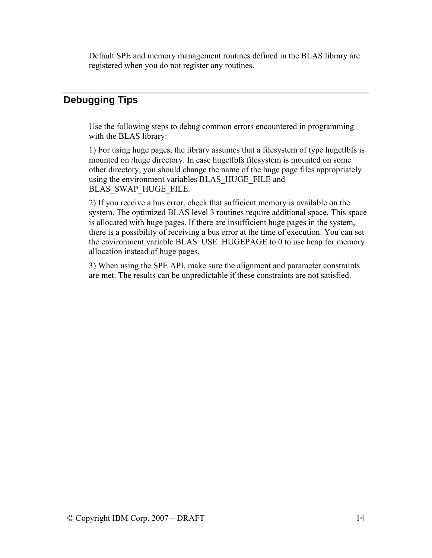<span id="page-17-0"></span>Default SPE and memory management routines defined in the BLAS library are registered when you do not register any routines.

## **Debugging Tips**

Use the following steps to debug common errors encountered in programming with the BLAS library:

1) For using huge pages, the library assumes that a filesystem of type hugetlbfs is mounted on /huge directory. In case hugetlbfs filesystem is mounted on some other directory, you should change the name of the huge page files appropriately using the environment variables BLAS\_HUGE\_FILE and BLAS\_SWAP\_HUGE\_FILE.

2) If you receive a bus error, check that sufficient memory is available on the system. The optimized BLAS level 3 routines require additional space. This space is allocated with huge pages. If there are insufficient huge pages in the system, there is a possibility of receiving a bus error at the time of execution. You can set the environment variable BLAS\_USE\_HUGEPAGE to 0 to use heap for memory allocation instead of huge pages.

3) When using the SPE API, make sure the alignment and parameter constraints are met. The results can be unpredictable if these constraints are not satisfied.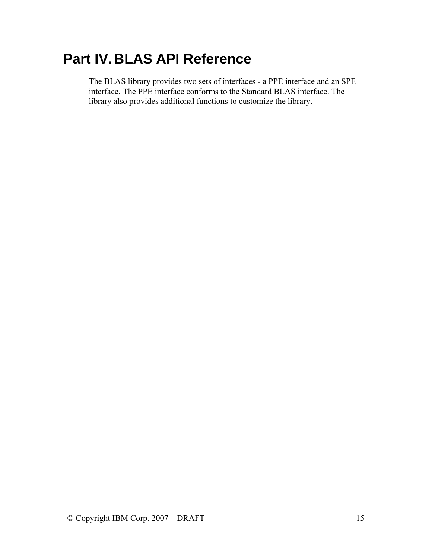# <span id="page-18-0"></span>**Part IV. BLAS API Reference**

The BLAS library provides two sets of interfaces - a PPE interface and an SPE interface. The PPE interface conforms to the Standard BLAS interface. The library also provides additional functions to customize the library.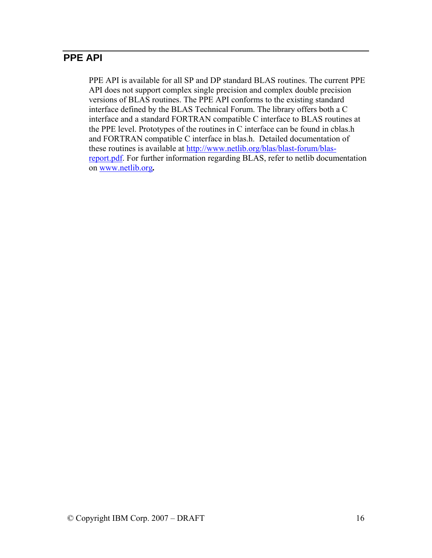## <span id="page-19-0"></span>**PPE API**

PPE API is available for all SP and DP standard BLAS routines. The current PPE API does not support complex single precision and complex double precision versions of BLAS routines. The PPE API conforms to the existing standard interface defined by the BLAS Technical Forum. The library offers both a C interface and a standard FORTRAN compatible C interface to BLAS routines at the PPE level. Prototypes of the routines in C interface can be found in cblas.h and FORTRAN compatible C interface in blas.h. Detailed documentation of these routines is available at [http://www.netlib.org/blas/blast-forum/blas](http://www.netlib.org/blas/blast-forum/blas-report.pdf)[report.pdf.](http://www.netlib.org/blas/blast-forum/blas-report.pdf) For further information regarding BLAS, refer to netlib documentation on www.netlib.org*.*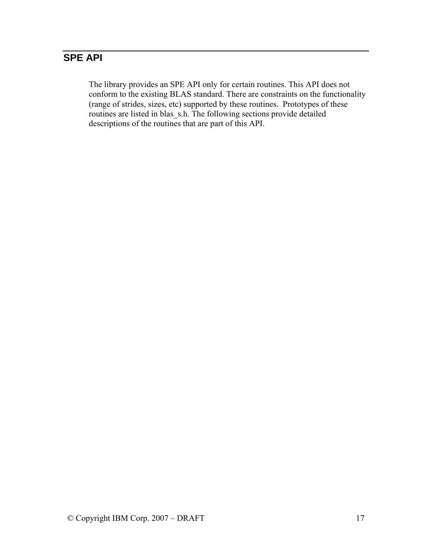## <span id="page-20-0"></span>**SPE API**

The library provides an SPE API only for certain routines. This API does not conform to the existing BLAS standard. There are constraints on the functionality (range of strides, sizes, etc) supported by these routines. Prototypes of these routines are listed in blas\_s.h. The following sections provide detailed descriptions of the routines that are part of this API.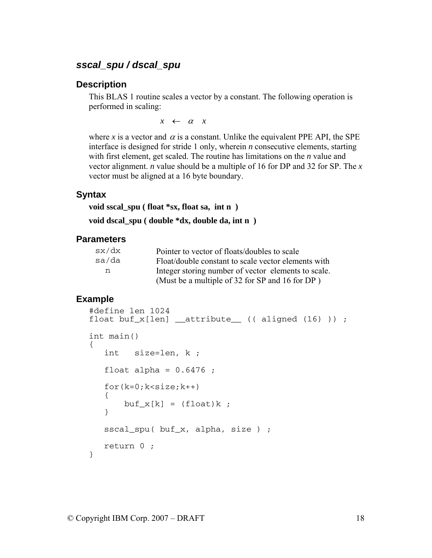## <span id="page-21-0"></span>*sscal\_spu / dscal\_spu*

#### **Description**

This BLAS 1 routine scales a vector by a constant. The following operation is performed in scaling:

*x* ← <sup>α</sup> *x*

where *x* is a vector and  $\alpha$  is a constant. Unlike the equivalent PPE API, the SPE interface is designed for stride 1 only, wherein *n* consecutive elements, starting with first element, get scaled. The routine has limitations on the *n* value and vector alignment. *n* value should be a multiple of 16 for DP and 32 for SP. The *x* vector must be aligned at a 16 byte boundary.

#### **Syntax**

**void sscal\_spu ( float \*sx, float sa, int n )** 

**void dscal\_spu ( double \*dx, double da, int n )** 

#### **Parameters**

| sx/dx | Pointer to vector of floats/doubles to scale        |
|-------|-----------------------------------------------------|
| sa/da | Float/double constant to scale vector elements with |
| n     | Integer storing number of vector elements to scale. |
|       | (Must be a multiple of 32 for SP and 16 for DP)     |

```
#define len 1024 
float buf_x[len] _{\text{attribute}} (( aligned (16) )) ;
int main() 
{ 
    int size=len, k ; 
   float alpha = 0.6476;
   for(k=0; k < size; k++) { 
       buf_x[k] = (float)k; } 
   sscal_spu( buf_x, alpha, size ) ;
    return 0 ; 
}
```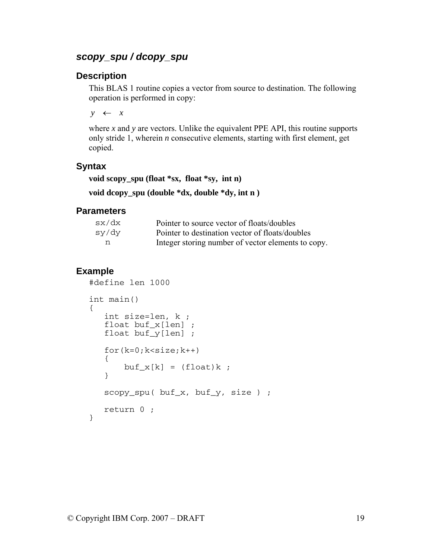## <span id="page-22-0"></span>*scopy\_spu / dcopy\_spu*

#### **Description**

This BLAS 1 routine copies a vector from source to destination. The following operation is performed in copy:

 $y \leftarrow x$ 

where  $x$  and  $y$  are vectors. Unlike the equivalent PPE API, this routine supports only stride 1, wherein *n* consecutive elements, starting with first element, get copied.

### **Syntax**

**void scopy\_spu (float \*sx, float \*sy, int n)** 

**void dcopy\_spu (double \*dx, double \*dy, int n )** 

#### **Parameters**

| sx/dx | Pointer to source vector of floats/doubles         |
|-------|----------------------------------------------------|
| sy/dy | Pointer to destination vector of floats/doubles    |
| n     | Integer storing number of vector elements to copy. |

```
#define len 1000 
int main() 
{ 
    int size=len, k ; 
    float buf_x[len] ; 
    float buf_y[len] ; 
   for(k=0; k < size; k++) { 
        buf_x[k] = (float)k; } 
    scopy_spu( buf_x, buf_y, size ) ; 
    return 0 ; 
}
```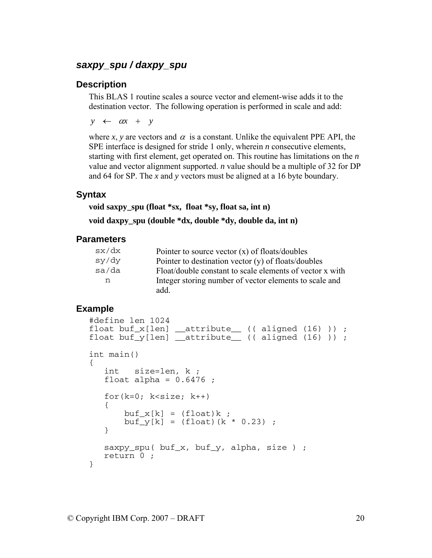#### <span id="page-23-0"></span>*saxpy\_spu / daxpy\_spu*

#### **Description**

This BLAS 1 routine scales a source vector and element-wise adds it to the destination vector. The following operation is performed in scale and add:

 $y \leftarrow \alpha x + y$ 

where *x*, *y* are vectors and  $\alpha$  is a constant. Unlike the equivalent PPE API, the SPE interface is designed for stride 1 only, wherein *n* consecutive elements, starting with first element, get operated on. This routine has limitations on the *n* value and vector alignment supported. *n* value should be a multiple of 32 for DP and 64 for SP. The *x* and *y* vectors must be aligned at a 16 byte boundary.

#### **Syntax**

**void saxpy\_spu (float \*sx, float \*sy, float sa, int n)** 

**void daxpy\_spu (double \*dx, double \*dy, double da, int n)** 

#### **Parameters**

| sx/dx | Pointer to source vector $(x)$ of floats/doubles         |
|-------|----------------------------------------------------------|
| sy/dy | Pointer to destination vector $(y)$ of floats/doubles    |
| sa/da | Float/double constant to scale elements of vector x with |
| n     | Integer storing number of vector elements to scale and   |
|       | add.                                                     |

```
#define len 1024 
float buf_x[len] __attribute__ (( aligned (16) )) ; 
float buf_y[len] _attribute_ (( aligned (16) )) ;
int main() 
{ 
    int size=len, k ; 
   float alpha = 0.6476;
   for(k=0; k<size; k++)
    { 
       buf_x[k] = (float)k;buf_y[k] = (float)(k * 0.23);
    } 
    saxpy_spu( buf_x, buf_y, alpha, size ) ; 
   return 0 ; 
}
```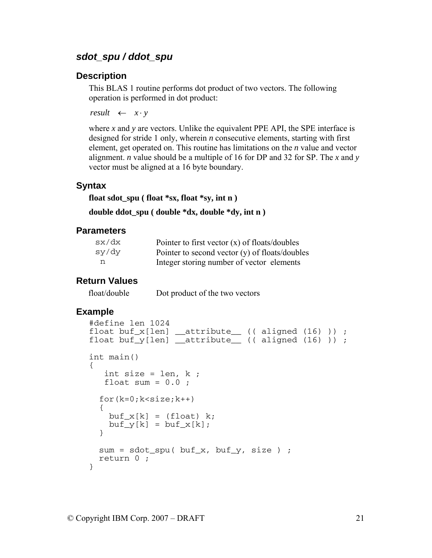## <span id="page-24-0"></span>*sdot\_spu / ddot\_spu*

#### **Description**

This BLAS 1 routine performs dot product of two vectors. The following operation is performed in dot product:

*result*  $\leftarrow x \cdot y$ 

where *x* and *y* are vectors. Unlike the equivalent PPE API, the SPE interface is designed for stride 1 only, wherein *n* consecutive elements, starting with first element, get operated on. This routine has limitations on the *n* value and vector alignment. *n* value should be a multiple of 16 for DP and 32 for SP. The *x* and *y* vector must be aligned at a 16 byte boundary.

#### **Syntax**

**float sdot\_spu ( float \*sx, float \*sy, int n )** 

```
double ddot_spu ( double *dx, double *dy, int n )
```
#### **Parameters**

| sx/dx | Pointer to first vector $(x)$ of floats/doubles  |
|-------|--------------------------------------------------|
| sy/dy | Pointer to second vector $(y)$ of floats/doubles |
| n.    | Integer storing number of vector elements        |

#### **Return Values**

float/double Dot product of the two vectors

```
#define len 1024 
float buf_x[len] __attribute__ (( aligned (16) )) ;
float buf_y[len] __attribute__ (( aligned (16) )) ; 
int main() 
{ 
   int size = len, k;
  float sum = 0.0;
  for(k=0; k <size;k++) { 
   buf x[k] = (float) k;buf_y[k] = buf_x[k]; } 
 sum = sdot_spu(buf_x,buf_y, size);
  return 0 ; 
}
```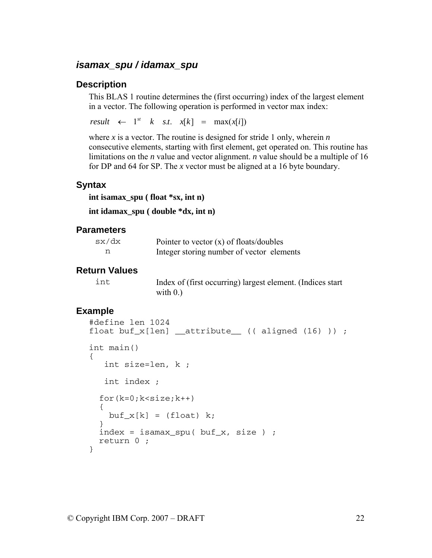## <span id="page-25-0"></span>*isamax\_spu / idamax\_spu*

#### **Description**

This BLAS 1 routine determines the (first occurring) index of the largest element in a vector. The following operation is performed in vector max index:

 $result \leftarrow 1^{st} \quad k \quad s.t. \quad x[k] = \max(x[i])$ 

where *x* is a vector. The routine is designed for stride 1 only, wherein *n* consecutive elements, starting with first element, get operated on. This routine has limitations on the *n* value and vector alignment. *n* value should be a multiple of 16 for DP and 64 for SP. The *x* vector must be aligned at a 16 byte boundary.

#### **Syntax**

```
int isamax_spu ( float *sx, int n)
```
**int idamax\_spu ( double \*dx, int n)** 

#### **Parameters**

| sx/dx | Pointer to vector $(x)$ of floats/doubles |
|-------|-------------------------------------------|
|       | Integer storing number of vector elements |

#### **Return Values**

|  | ×<br>٠ |
|--|--------|

Index of (first occurring) largest element. (Indices start with  $0.$ )

```
#define len 1024 
float buf_x[len] __attribute__ (( aligned (16) )) ; 
int main() 
{ 
    int size=len, k ; 
    int index ; 
  for(k=0; k < size; k++) { 
    buf x[k] = (float) k; } 
  index = isamar_spu(buf_x, size);
   return 0 ; 
}
```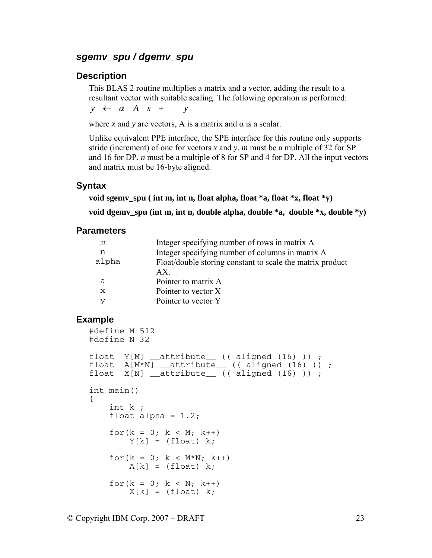#### <span id="page-26-0"></span>*sgemv\_spu / dgemv\_spu*

#### **Description**

This BLAS 2 routine multiplies a matrix and a vector, adding the result to a resultant vector with suitable scaling. The following operation is performed:

 $y \leftarrow \alpha A x + y$ 

where *x* and *y* are vectors, A is a matrix and  $\alpha$  is a scalar.

Unlike equivalent PPE interface, the SPE interface for this routine only supports stride (increment) of one for vectors *x* and *y*. *m* must be a multiple of 32 for SP and 16 for DP. *n* must be a multiple of 8 for SP and 4 for DP. All the input vectors and matrix must be 16-byte aligned.

#### **Syntax**

**void sgemv\_spu ( int m, int n, float alpha, float \*a, float \*x, float \*y)** 

**void dgemv\_spu (int m, int n, double alpha, double \*a, double \*x, double \*y)** 

#### **Parameters**

| m     | Integer specifying number of rows in matrix A             |
|-------|-----------------------------------------------------------|
| n     | Integer specifying number of columns in matrix A          |
| alpha | Float/double storing constant to scale the matrix product |
|       | AX                                                        |
| a     | Pointer to matrix A                                       |
| X     | Pointer to vector X                                       |
| v     | Pointer to vector Y                                       |

```
#define M 512 
#define N 32 
float Y[M] __attribute__ (( aligned (16) )) ; 
float A[M*N] __attribute__ (( aligned (16) )) ; 
float X[N] _attribute_ (( aligned (16) ));
int main() 
{ 
     int k ; 
    float alpha = 1.2;
    for(k = 0; k < M; k++)
        Y[k] = (float) k;for(k = 0; k < M*N; k++)
        A[k] = (float) k;for(k = 0; k < N; k++)
        X[k] = (float) k;
```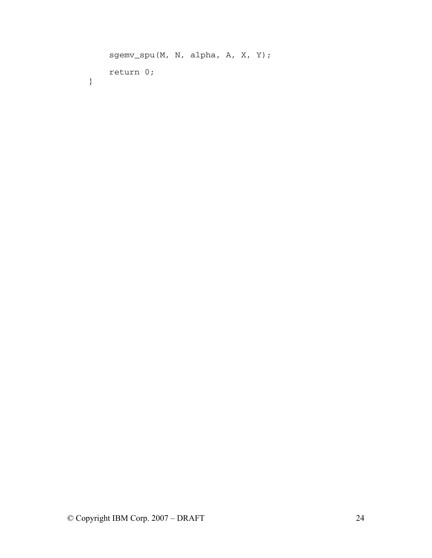```
 sgemv_spu(M, N, alpha, A, X, Y); 
 return 0;
```
}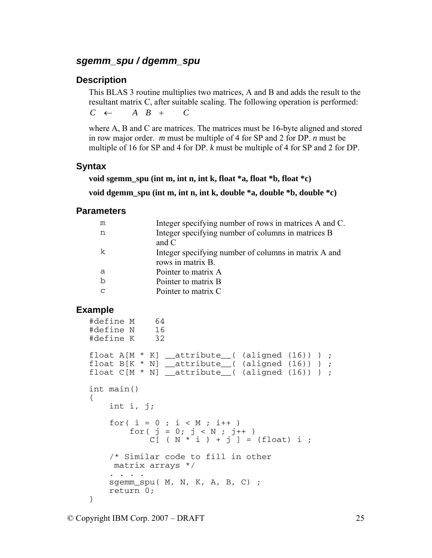#### <span id="page-28-0"></span>*sgemm\_spu / dgemm\_spu*

#### **Description**

This BLAS 3 routine multiplies two matrices, A and B and adds the result to the resultant matrix C, after suitable scaling. The following operation is performed:  $C \leftarrow A \quad B \quad + \quad C$ 

where A, B and C are matrices. The matrices must be 16-byte aligned and stored in row major order. *m* must be multiple of 4 for SP and 2 for DP. *n* must be multiple of 16 for SP and 4 for DP. *k* must be multiple of 4 for SP and 2 for DP.

#### **Syntax**

```
void sgemm_spu (int m, int n, int k, float *a, float *b, float *c)
```
**void dgemm\_spu (int m, int n, int k, double \*a, double \*b, double \*c)** 

#### **Parameters**

| m | Integer specifying number of rows in matrices A and C. |
|---|--------------------------------------------------------|
| n | Integer specifying number of columns in matrices B     |
|   | and $C$                                                |
| k | Integer specifying number of columns in matrix A and   |
|   | rows in matrix B.                                      |
| a | Pointer to matrix A                                    |
| b | Pointer to matrix B                                    |
| C | Pointer to matrix C                                    |
|   |                                                        |

```
#define M 64 
#define N 16 
#define K 32 
float A[M * K] _attribute_( (aligned (16)) ) ;
float B[K * N] attribute (aligned (16)) ) ;
float C[M * N] attribute (aligned (16)) ;
int main() 
{ 
     int i, j; 
    for( i = 0 ; i < M ; i++ )
        for( j = 0; j < N ; j++)C[\ (N * i) + j] = (float) i ; /* Similar code to fill in other 
    matrix arrays */ 
        . . . . 
     sgemm_spu( M, N, K, A, B, C) ; 
     return 0; 
}
```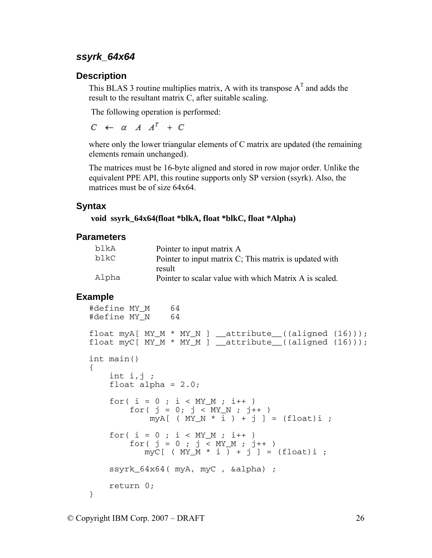#### <span id="page-29-0"></span>*ssyrk\_64x64*

#### **Description**

This BLAS 3 routine multiplies matrix, A with its transpose  $A<sup>T</sup>$  and adds the result to the resultant matrix C, after suitable scaling.

The following operation is performed:

 $C \leftarrow \alpha A A^T + C$ 

where only the lower triangular elements of C matrix are updated (the remaining elements remain unchanged).

The matrices must be 16-byte aligned and stored in row major order. Unlike the equivalent PPE API, this routine supports only SP version (ssyrk). Also, the matrices must be of size 64x64

#### **Syntax**

 **void ssyrk\_64x64(float \*blkA, float \*blkC, float \*Alpha)** 

#### **Parameters**

| b1kA  | Pointer to input matrix A                              |
|-------|--------------------------------------------------------|
| b1kC. | Pointer to input matrix C; This matrix is updated with |
|       | result                                                 |
| Alpha | Pointer to scalar value with which Matrix A is scaled. |

```
#define MY_M 64 
#define MY_N 64 
float myA[ MY_M * MY_N] _attribute_((aligned (16)));
float myC[ MY_M * MY_M ] = attribute ((aligned (16)));
int main() 
{ 
   int i,j;float alpha = 2.0;
   for( i = 0 ; i < MY_M ; i++)for( j = 0; j < MY_N ; j++)myA[ ( MY_N * i ) + j ] = (float)i ;
    for( i = 0 ; i < MY_M ; i++)for( j = 0 ; j < MY_M ; j++)myC[ ( MY_M * i ) + j ] = (float)i ;
    ssyrk_64x64( myA, myC , &alpha) ; 
    return 0; 
}
```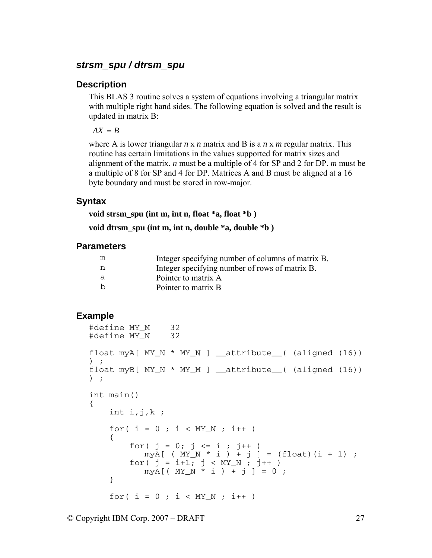#### <span id="page-30-0"></span>*strsm\_spu / dtrsm\_spu*

#### **Description**

This BLAS 3 routine solves a system of equations involving a triangular matrix with multiple right hand sides. The following equation is solved and the result is updated in matrix B:

 $AX = B$ 

where A is lower triangular *n* x *n* matrix and B is a *n* x *m* regular matrix. This routine has certain limitations in the values supported for matrix sizes and alignment of the matrix. *n* must be a multiple of 4 for SP and 2 for DP. *m* must be a multiple of 8 for SP and 4 for DP. Matrices A and B must be aligned at a 16 byte boundary and must be stored in row-major.

#### **Syntax**

**void strsm\_spu (int m, int n, float \*a, float \*b )** 

**void dtrsm\_spu (int m, int n, double \*a, double \*b )** 

#### **Parameters**

| m | Integer specifying number of columns of matrix B. |
|---|---------------------------------------------------|
| n | Integer specifying number of rows of matrix B.    |
| a | Pointer to matrix A                               |
| b | Pointer to matrix B                               |

```
#define MY_M 32 
#define MY_N 32 
float myA[MY_N * MY_N] _attribute_( (aligned (16))
) ; 
float myB[MY_N * MY_M] _attribute_( (aligned (16))
) ; 
int main() 
{ 
   int i,j,k;for( i = 0 ; i < MY_N ; i++) { 
       for( j = 0; j \le i ; j++)\text{myA}[ ( MY_N * i ) + j ] = (float)(i + 1) ;
for( j = i+1; j < MY_N; j++)myA[ ( MY_N * i ) + j ] = 0 ;
    } 
   for( i = 0 ; i < MY_N ; i++)
```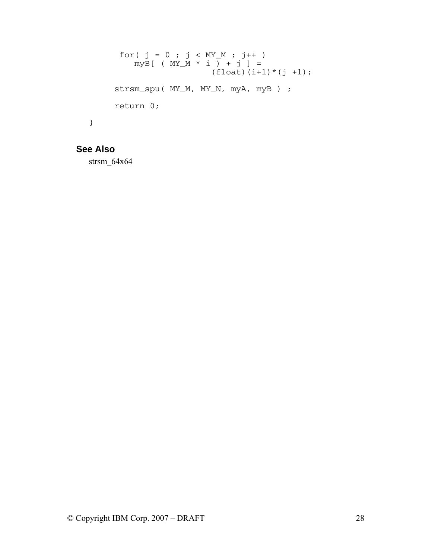```
for( j = 0 ; j < MY_M ; j++)myB[ ( MY_M * i ) + j ] =
(fload)(i+1)*(j +1);strsm_spu( MY_M, MY_N, myA, myB ) ;
    return 0; 
}
```
## **See Also**

strsm\_64x64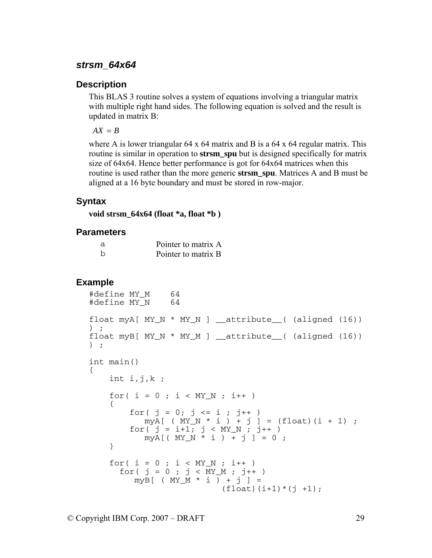#### <span id="page-32-0"></span>*strsm\_64x64*

#### **Description**

This BLAS 3 routine solves a system of equations involving a triangular matrix with multiple right hand sides. The following equation is solved and the result is updated in matrix B:

 $AX = B$ 

where A is lower triangular  $64 \times 64$  matrix and B is a  $64 \times 64$  regular matrix. This routine is similar in operation to **strsm\_spu** but is designed specifically for matrix size of 64x64. Hence better performance is got for 64x64 matrices when this routine is used rather than the more generic **strsm\_spu**. Matrices A and B must be aligned at a 16 byte boundary and must be stored in row-major.

#### **Syntax**

**void strsm\_64x64 (float \*a, float \*b )** 

#### **Parameters**

| a | Pointer to matrix A |
|---|---------------------|
|   | Pointer to matrix B |

```
#define MY_M 64 
#define MY_N 64 
float myA[MY_N * MY_N] _attribute_( (aligned (16))
) ; 
float myB[ MY_N * MY_M ] __attribute__( (aligned (16)) 
) ; 
int main() 
{ 
    int i,j,k;
    for( i = 0 ; i < MY_N ; i++) { 
        for( j = 0; j \le i ; j^{++} )
          myA[ ( MY_N * i ) + j ] = (float)(i + 1) ;
        for( j = i+1; j < MY_N; j++)myA[ ( MY_N * i ) + j ] = 0 ;
     } 
    for( i = 0 ; i < MY N ; i^{++} )
for( j = 0 ; j < MY_M ; j++) myB[ ( MY_M * i ) + j ] = 
                          (fload)(i+1)*(j +1);
```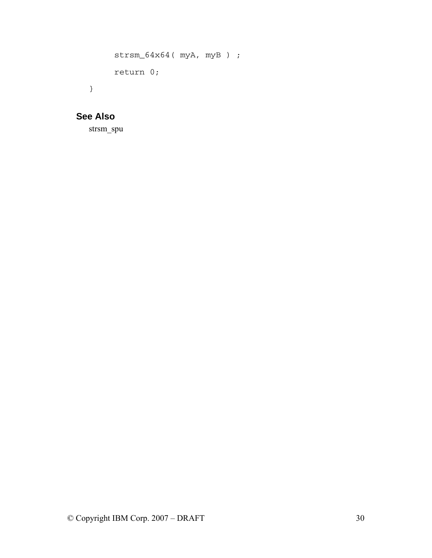```
strsm_64x64( myA, myB) ;
     return 0; 
}
```
## **See Also**

strsm\_spu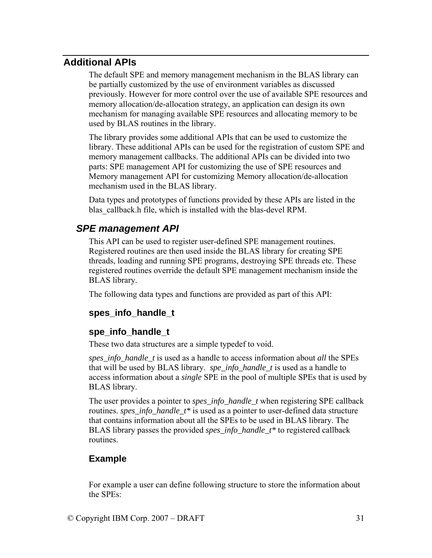## <span id="page-34-0"></span>**Additional APIs**

The default SPE and memory management mechanism in the BLAS library can be partially customized by the use of environment variables as discussed previously. However for more control over the use of available SPE resources and memory allocation/de-allocation strategy, an application can design its own mechanism for managing available SPE resources and allocating memory to be used by BLAS routines in the library.

The library provides some additional APIs that can be used to customize the library. These additional APIs can be used for the registration of custom SPE and memory management callbacks. The additional APIs can be divided into two parts: SPE management API for customizing the use of SPE resources and Memory management API for customizing Memory allocation/de-allocation mechanism used in the BLAS library.

Data types and prototypes of functions provided by these APIs are listed in the blas\_callback.h file, which is installed with the blas-devel RPM.

## *SPE management API*

This API can be used to register user-defined SPE management routines. Registered routines are then used inside the BLAS library for creating SPE threads, loading and running SPE programs, destroying SPE threads etc. These registered routines override the default SPE management mechanism inside the BLAS library.

The following data types and functions are provided as part of this API:

## **spes\_info\_handle\_t**

#### **spe\_info\_handle\_t**

These two data structures are a simple typedef to void.

*spes\_info\_handle\_t* is used as a handle to access information about *all* the SPEs that will be used by BLAS library. *spe\_info\_handle\_t* is used as a handle to access information about a *single* SPE in the pool of multiple SPEs that is used by BLAS library.

The user provides a pointer to *spes\_info\_handle\_t* when registering SPE callback routines. *spes\_info\_handle\_t\** is used as a pointer to user-defined data structure that contains information about all the SPEs to be used in BLAS library. The BLAS library passes the provided *spes\_info\_handle\_t\** to registered callback routines.

## **Example**

For example a user can define following structure to store the information about the SPEs: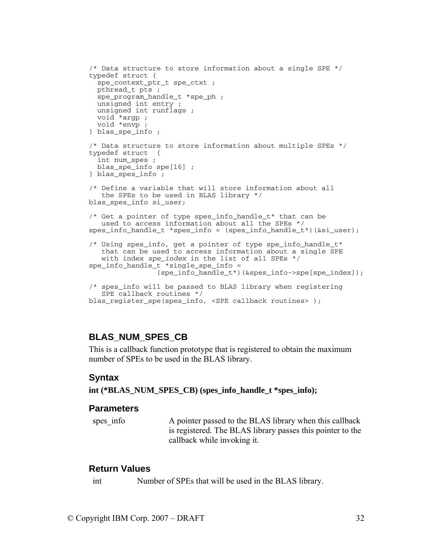```
/* Data structure to store information about a single SPE */ 
typedef struct { 
   spe_context_ptr_t spe_ctxt ; 
   pthread_t pts ; 
   spe_program_handle_t *spe_ph ; 
  unsigned int entry ; 
  unsigned int runflags ; 
  void *argp ; 
  void *envp ; 
} blas_spe_info ; 
/* Data structure to store information about multiple SPEs */ 
typedef struct { 
   int num_spes ; 
   blas_spe_info spe[16] ; 
} blas_spes_info ; 
/* Define a variable that will store information about all 
    the SPEs to be used in BLAS library */ 
blas_spes_info si_user; 
/* Get a pointer of type spes_info_handle_t* that can be 
    used to access information about all the SPEs */ 
spes info handle t *spes info = (spes info handle t*)(&si user);
/* Using spes_info, get a pointer of type spe_info_handle_t* 
    that can be used to access information about a single SPE 
    with index spe_index in the list of all SPEs */ 
spe_info_handle_t *single_spe_info = 
                  (spe_info_handle_t*)(&spes_info->spe[spe_index]); 
/* spes_info will be passed to BLAS library when registering 
    SPE callback routines */ 
blas_register_spe(spes_info, <SPE callback routines> );
```
#### **BLAS\_NUM\_SPES\_CB**

This is a callback function prototype that is registered to obtain the maximum number of SPEs to be used in the BLAS library.

#### **Syntax**

#### **int (\*BLAS\_NUM\_SPES\_CB) (spes\_info\_handle\_t \*spes\_info);**

#### **Parameters**

spes info A pointer passed to the BLAS library when this callback is registered. The BLAS library passes this pointer to the callback while invoking it.

#### **Return Values**

int Number of SPEs that will be used in the BLAS library.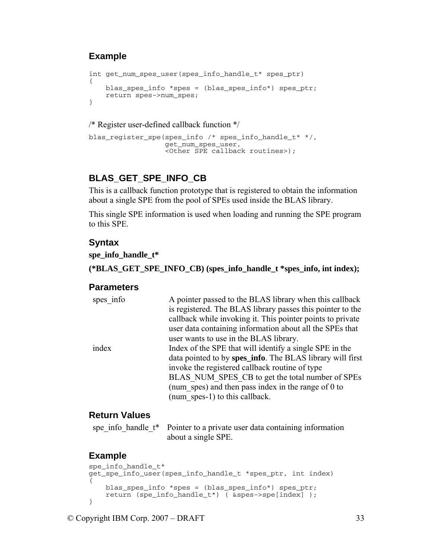## **Example**

```
int get_num_spes_user(spes_info_handle_t* spes_ptr) 
{ 
     blas_spes_info *spes = (blas_spes_info*) spes_ptr; 
     return spes->num_spes; 
}
```
/\* Register user-defined callback function \*/

```
blas_register_spe(spes_info /* spes_info_handle_t* */, 
                    get_num_spes_user, 
                    <Other SPE callback routines>);
```
## **BLAS\_GET\_SPE\_INFO\_CB**

This is a callback function prototype that is registered to obtain the information about a single SPE from the pool of SPEs used inside the BLAS library.

This single SPE information is used when loading and running the SPE program to this SPE.

#### **Syntax**

**spe\_info\_handle\_t\*** 

**(\*BLAS\_GET\_SPE\_INFO\_CB) (spes\_info\_handle\_t \*spes\_info, int index);** 

#### **Parameters**

| A pointer passed to the BLAS library when this callback    |
|------------------------------------------------------------|
| is registered. The BLAS library passes this pointer to the |
| callback while invoking it. This pointer points to private |
| user data containing information about all the SPEs that   |
| user wants to use in the BLAS library.                     |
| Index of the SPE that will identify a single SPE in the    |
| data pointed to by spes_info. The BLAS library will first  |
| invoke the registered callback routine of type             |
| BLAS NUM SPES CB to get the total number of SPEs           |
| (num spes) and then pass index in the range of 0 to        |
| (num spes-1) to this callback.                             |
|                                                            |

#### **Return Values**

| spe info handle t* Pointer to a private user data containing information |
|--------------------------------------------------------------------------|
| about a single SPE.                                                      |

```
spe info handle t*get_spe_info_user(spes_info_handle_t *spes_ptr, int index) 
{ 
    blas_spes_info *spes = (blas_spes_info*) spes_ptr; 
    return (spe_info_handle_t*) ( &spes->spe[index] ); 
}
```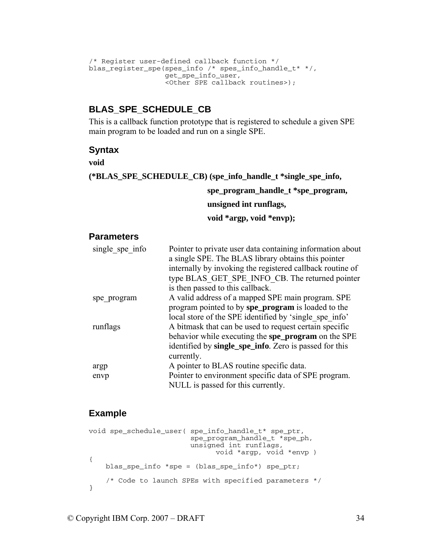```
/* Register user-defined callback function */ 
blas_register_spe(spes_info /* spes_info_handle_t* */, 
                   get_spe_info_user, 
                    <Other SPE callback routines>);
```
## **BLAS\_SPE\_SCHEDULE\_CB**

This is a callback function prototype that is registered to schedule a given SPE main program to be loaded and run on a single SPE.

### **Syntax**

**void** 

**(\*BLAS\_SPE\_SCHEDULE\_CB) (spe\_info\_handle\_t \*single\_spe\_info,** 

 **spe\_program\_handle\_t \*spe\_program,** 

 **unsigned int runflags,** 

 **void \*argp, void \*envp);** 

#### **Parameters**

| single spe info | Pointer to private user data containing information about<br>a single SPE. The BLAS library obtains this pointer<br>internally by invoking the registered callback routine of<br>type BLAS GET SPE INFO CB. The returned pointer<br>is then passed to this callback. |
|-----------------|----------------------------------------------------------------------------------------------------------------------------------------------------------------------------------------------------------------------------------------------------------------------|
| spe program     | A valid address of a mapped SPE main program. SPE<br>program pointed to by spe_program is loaded to the<br>local store of the SPE identified by 'single spe info'                                                                                                    |
| runflags        | A bitmask that can be used to request certain specific<br>behavior while executing the spe_program on the SPE<br>identified by single_spe_info. Zero is passed for this<br>currently.                                                                                |
| argp            | A pointer to BLAS routine specific data.                                                                                                                                                                                                                             |
| envp            | Pointer to environment specific data of SPE program.<br>NULL is passed for this currently.                                                                                                                                                                           |

```
void spe_schedule_user( spe_info_handle_t* spe_ptr, 
                          spe_program_handle_t *spe_ph, 
                          unsigned int runflags, 
                                void *argp, void *envp ) 
{ 
     blas_spe_info *spe = (blas_spe_info*) spe_ptr; 
     /* Code to launch SPEs with specified parameters */ 
}
```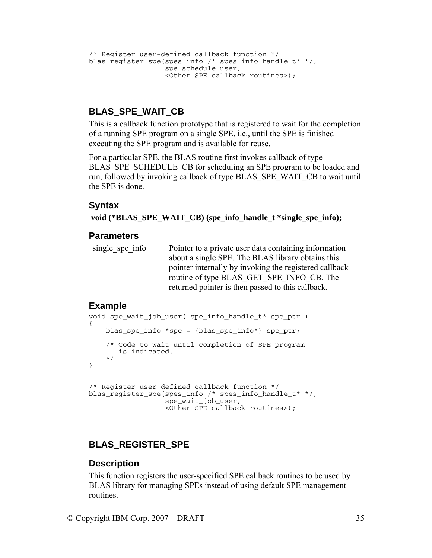```
/* Register user-defined callback function */ 
blas_register_spe(spes_info /* spes_info_handle_t* */, 
                  spe_schedule_user,
                  <Other SPE callback routines>);
```
## **BLAS\_SPE\_WAIT\_CB**

This is a callback function prototype that is registered to wait for the completion of a running SPE program on a single SPE, i.e., until the SPE is finished executing the SPE program and is available for reuse.

For a particular SPE, the BLAS routine first invokes callback of type BLAS SPE\_SCHEDULE\_CB for scheduling an SPE program to be loaded and run, followed by invoking callback of type BLAS\_SPE\_WAIT\_CB to wait until the SPE is done.

#### **Syntax**

 **void (\*BLAS\_SPE\_WAIT\_CB) (spe\_info\_handle\_t \*single\_spe\_info);** 

#### **Parameters**

single spe info Pointer to a private user data containing information about a single SPE. The BLAS library obtains this pointer internally by invoking the registered callback routine of type BLAS\_GET\_SPE\_INFO\_CB. The returned pointer is then passed to this callback.

#### **Example**

```
void spe_wait_job_user( spe_info_handle_t* spe_ptr ) 
{ 
    blas spe info *spe = (blas spe info*) spe ptr;
     /* Code to wait until completion of SPE program 
       is indicated. 
     */ 
} 
/* Register user-defined callback function */ 
blas_register_spe(spes_info /* spes_info_handle_t* */, 
                    spe_wait_job_user, 
                    <Other SPE callback routines>);
```
## **BLAS\_REGISTER\_SPE**

#### **Description**

This function registers the user-specified SPE callback routines to be used by BLAS library for managing SPEs instead of using default SPE management routines.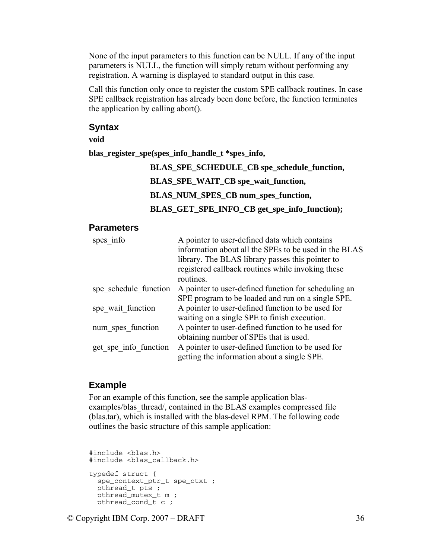None of the input parameters to this function can be NULL. If any of the input parameters is NULL, the function will simply return without performing any registration. A warning is displayed to standard output in this case.

Call this function only once to register the custom SPE callback routines. In case SPE callback registration has already been done before, the function terminates the application by calling abort().

#### **Syntax**

**void** 

**blas\_register\_spe(spes\_info\_handle\_t \*spes\_info,** 

| BLAS_SPE_SCHEDULE_CB spe_schedule_function,  |
|----------------------------------------------|
| BLAS_SPE_WAIT_CB spe_wait_function,          |
| BLAS_NUM_SPES_CB num_spes_function,          |
| BLAS_GET_SPE_INFO_CB get_spe_info_function); |

#### **Parameters**

| spes info             | A pointer to user-defined data which contains<br>information about all the SPEs to be used in the BLAS<br>library. The BLAS library passes this pointer to<br>registered callback routines while invoking these<br>routines. |
|-----------------------|------------------------------------------------------------------------------------------------------------------------------------------------------------------------------------------------------------------------------|
| spe schedule function | A pointer to user-defined function for scheduling an                                                                                                                                                                         |
|                       | SPE program to be loaded and run on a single SPE.                                                                                                                                                                            |
| spe wait function     | A pointer to user-defined function to be used for                                                                                                                                                                            |
|                       | waiting on a single SPE to finish execution.                                                                                                                                                                                 |
| num spes function     | A pointer to user-defined function to be used for                                                                                                                                                                            |
|                       | obtaining number of SPEs that is used.                                                                                                                                                                                       |
| get_spe_info function | A pointer to user-defined function to be used for<br>getting the information about a single SPE.                                                                                                                             |

#### **Example**

For an example of this function, see the sample application blasexamples/blas\_thread/, contained in the BLAS examples compressed file (blas.tar), which is installed with the blas-devel RPM. The following code outlines the basic structure of this sample application:

```
#include <blas.h> 
#include <blas_callback.h> 
typedef struct { 
  spe_context_ptr_t spe_ctxt ; 
  pthread_t pts ; 
  pthread_mutex_t m ; 
 pthread cond t c ;
```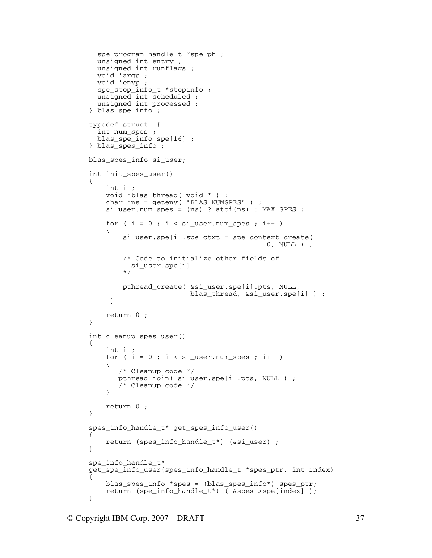```
 spe_program_handle_t *spe_ph ; 
   unsigned int entry ; 
   unsigned int runflags ; 
   void *argp ; 
   void *envp ; 
   spe_stop_info_t *stopinfo ; 
   unsigned int scheduled ; 
   unsigned int processed ; 
} blas_spe_info ; 
typedef struct { 
   int num_spes ; 
   blas_spe_info spe[16] ; 
} blas_spes_info ; 
blas_spes_info si_user; 
int init_spes_user() 
{ 
     int i ; 
    void *blas thread( void * ) ;
     char *ns = getenv( "BLAS_NUMSPES" ) ; 
     si_user.num_spes = (ns) ? atoi(ns) : MAX_SPES ; 
    for ( i = 0 ; i < si_user.num_spes ; i++ )
     { 
          si_user.spe[i].spe_ctxt = spe_context_create( 
                                              0, NULL ) ; 
          /* Code to initialize other fields of 
           si_user.spe[i] 
          */ 
         pthread_create( &si_user.spe[i].pts, NULL, 
                          blas_thread, &si_user.spe[i] ) ; 
      } 
     return 0 ; 
} 
int cleanup_spes_user() 
{ 
     int i ; 
    for ( i = 0 ; i < si_user.num_spes ; i++ )
     { 
         /* Cleanup code */ 
        pthread_join( si_user.spe[i].pts, NULL ) ; 
        /* Cleanup code */ 
     } 
     return 0 ; 
} 
spes_info_handle_t* get_spes_info_user() 
{ 
     return (spes_info_handle_t*) (&si_user) ; 
} 
spe info handle t*
get_spe_info_user(spes_info_handle_t *spes_ptr, int index) 
{ 
     blas_spes_info *spes = (blas_spes_info*) spes_ptr; 
     return (spe_info_handle_t*) ( &spes->spe[index] ); 
}
```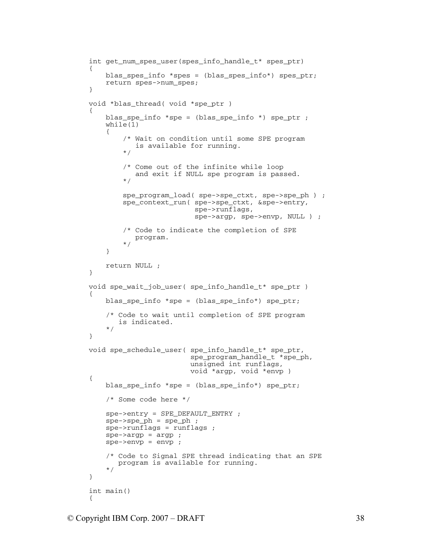```
int get num spes user(spes info handle t* spes ptr)
{ 
     blas_spes_info *spes = (blas_spes_info*) spes_ptr; 
     return spes->num_spes; 
} 
void *blas_thread( void *spe_ptr ) 
{ 
     blas_spe_info *spe = (blas_spe_info *) spe_ptr ; 
    while(1) { 
          /* Wait on condition until some SPE program 
             is available for running. 
          */ 
         /* Come out of the infinite while loop 
             and exit if NULL spe program is passed. 
          */ 
        spe program load( spe->spe ctxt, spe->spe ph ) ;
         spe_context_run( spe->spe_ctxt, &spe->entry, 
                            spe->runflags, 
                            spe->argp, spe->envp, NULL ) ; 
         /* Code to indicate the completion of SPE 
            program. 
          */ 
     } 
     return NULL ; 
} 
void spe_wait_job_user( spe_info_handle_t* spe_ptr ) 
{ 
     blas_spe_info *spe = (blas_spe_info*) spe_ptr; 
     /* Code to wait until completion of SPE program 
        is indicated. 
     */ 
} 
void spe_schedule_user( spe_info_handle_t* spe_ptr, 
                           spe_program_handle_t *spe_ph, 
                           unsigned int runflags, 
                          void *argp, void *envp ) 
{ 
    blas spe info *spe = (blas spe info*) spe ptr;
     /* Some code here */ 
     spe->entry = SPE_DEFAULT_ENTRY ; 
     spe->spe_ph = spe_ph ; 
     spe->runflags = runflags ; 
    spe->argp = argp;
     spe->envp = envp ; 
     /* Code to Signal SPE thread indicating that an SPE 
        program is available for running. 
     */ 
} 
int main() 
{
```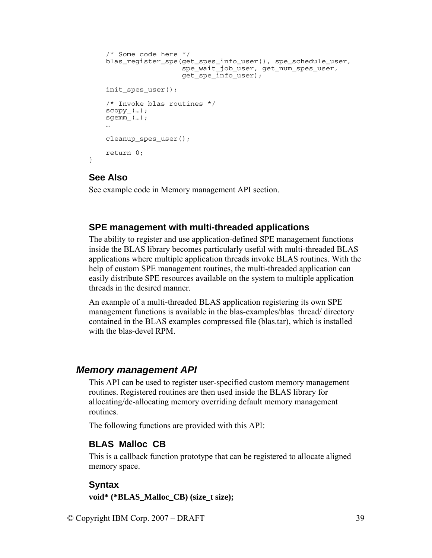```
/* Some code here */ 
    blas_register_spe(get_spes_info_user(), spe_schedule_user, 
                        spe_wait_job_user, get_num_spes_user, 
                        get_spe_info_user); 
    init_spes_user();
     /* Invoke blas routines */ 
    scopy_{\_} (...);
     sgemm_(…); 
 … 
     cleanup_spes_user(); 
     return 0;
```
#### **See Also**

}

See example code in Memory management API section.

#### **SPE management with multi-threaded applications**

The ability to register and use application-defined SPE management functions inside the BLAS library becomes particularly useful with multi-threaded BLAS applications where multiple application threads invoke BLAS routines. With the help of custom SPE management routines, the multi-threaded application can easily distribute SPE resources available on the system to multiple application threads in the desired manner.

An example of a multi-threaded BLAS application registering its own SPE management functions is available in the blas-examples/blas thread/ directory contained in the BLAS examples compressed file (blas.tar), which is installed with the blas-devel RPM

#### *Memory management API*

This API can be used to register user-specified custom memory management routines. Registered routines are then used inside the BLAS library for allocating/de-allocating memory overriding default memory management routines.

The following functions are provided with this API:

#### **BLAS\_Malloc\_CB**

This is a callback function prototype that can be registered to allocate aligned memory space.

#### **Syntax**

**void\* (\*BLAS\_Malloc\_CB) (size\_t size);**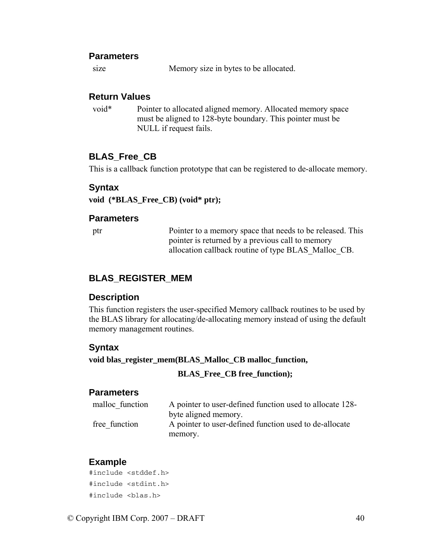#### **Parameters**

size Memory size in bytes to be allocated.

#### **Return Values**

void\* Pointer to allocated aligned memory. Allocated memory space must be aligned to 128-byte boundary. This pointer must be NULL if request fails.

#### **BLAS\_Free\_CB**

This is a callback function prototype that can be registered to de-allocate memory.

#### **Syntax**

**void (\*BLAS\_Free\_CB) (void\* ptr);** 

#### **Parameters**

ptr Pointer to a memory space that needs to be released. This pointer is returned by a previous call to memory allocation callback routine of type BLAS\_Malloc\_CB.

### **BLAS\_REGISTER\_MEM**

#### **Description**

This function registers the user-specified Memory callback routines to be used by the BLAS library for allocating/de-allocating memory instead of using the default memory management routines.

#### **Syntax**

**void blas\_register\_mem(BLAS\_Malloc\_CB malloc\_function,** 

#### **BLAS\_Free\_CB free\_function);**

#### **Parameters**

| malloc function | A pointer to user-defined function used to allocate 128- |
|-----------------|----------------------------------------------------------|
|                 | byte aligned memory.                                     |
| free function   | A pointer to user-defined function used to de-allocate   |
|                 | memory.                                                  |

#### **Example**

#include <stddef.h> #include <stdint.h> #include <blas.h>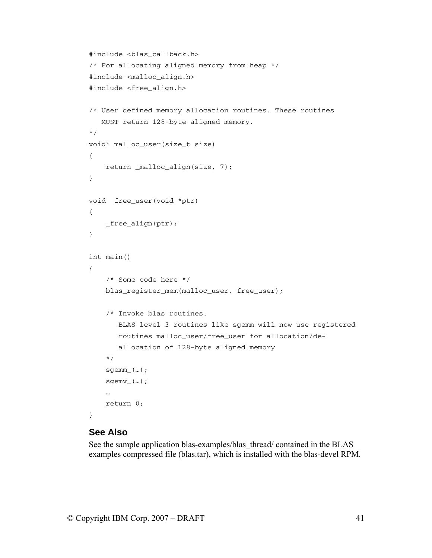```
#include <blas_callback.h> 
/* For allocating aligned memory from heap */ 
#include <malloc_align.h> 
#include <free_align.h> 
/* User defined memory allocation routines. These routines 
    MUST return 128-byte aligned memory. 
*/ 
void* malloc_user(size_t size) 
{ 
     return _malloc_align(size, 7); 
} 
void free_user(void *ptr) 
{ 
     _free_align(ptr); 
} 
int main() 
{ 
     /* Some code here */ 
     blas_register_mem(malloc_user, free_user); 
     /* Invoke blas routines. 
        BLAS level 3 routines like sgemm will now use registered 
        routines malloc_user/free_user for allocation/de- 
        allocation of 128-byte aligned memory 
     */ 
     sgemm_(…); 
    sgenv_{-}(\ldots); … 
     return 0; 
}
```
#### **See Also**

See the sample application blas-examples/blas thread/ contained in the BLAS examples compressed file (blas.tar), which is installed with the blas-devel RPM.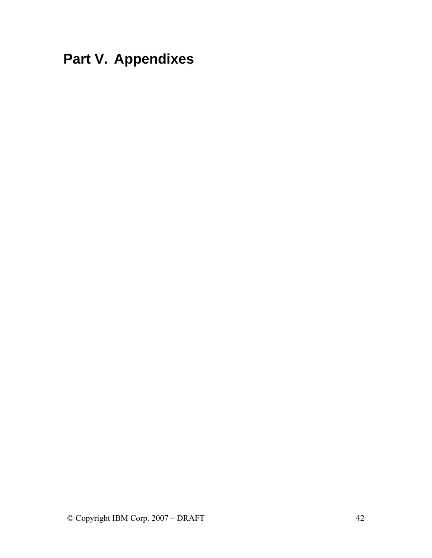# <span id="page-45-0"></span>**Part V. Appendixes**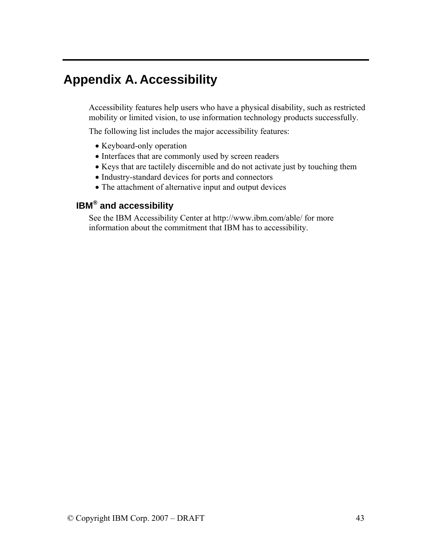# <span id="page-46-0"></span>**Appendix A. Accessibility**

Accessibility features help users who have a physical disability, such as restricted mobility or limited vision, to use information technology products successfully.

The following list includes the major accessibility features:

- Keyboard-only operation
- Interfaces that are commonly used by screen readers
- Keys that are tactilely discernible and do not activate just by touching them
- Industry-standard devices for ports and connectors
- The attachment of alternative input and output devices

## **IBM® and accessibility**

See the IBM Accessibility Center at http://www.ibm.com/able/ for more information about the commitment that IBM has to accessibility.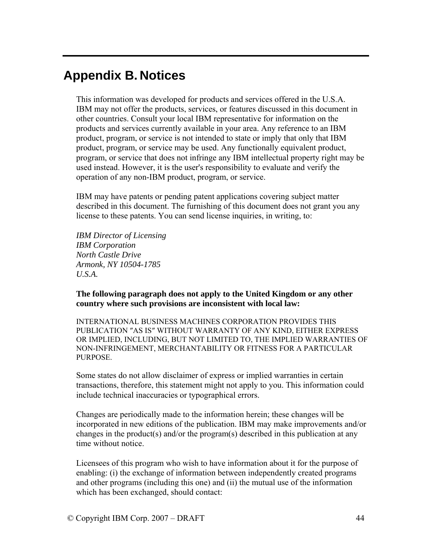## <span id="page-47-0"></span>**Appendix B. Notices**

This information was developed for products and services offered in the U.S.A. IBM may not offer the products, services, or features discussed in this document in other countries. Consult your local IBM representative for information on the products and services currently available in your area. Any reference to an IBM product, program, or service is not intended to state or imply that only that IBM product, program, or service may be used. Any functionally equivalent product, program, or service that does not infringe any IBM intellectual property right may be used instead. However, it is the user's responsibility to evaluate and verify the operation of any non-IBM product, program, or service.

IBM may have patents or pending patent applications covering subject matter described in this document. The furnishing of this document does not grant you any license to these patents. You can send license inquiries, in writing, to:

*IBM Director of Licensing IBM Corporation North Castle Drive Armonk, NY 10504-1785 U.S.A.* 

**The following paragraph does not apply to the United Kingdom or any other country where such provisions are inconsistent with local law:** 

INTERNATIONAL BUSINESS MACHINES CORPORATION PROVIDES THIS PUBLICATION ″AS IS″ WITHOUT WARRANTY OF ANY KIND, EITHER EXPRESS OR IMPLIED, INCLUDING, BUT NOT LIMITED TO, THE IMPLIED WARRANTIES OF NON-INFRINGEMENT, MERCHANTABILITY OR FITNESS FOR A PARTICULAR PURPOSE.

Some states do not allow disclaimer of express or implied warranties in certain transactions, therefore, this statement might not apply to you. This information could include technical inaccuracies or typographical errors.

Changes are periodically made to the information herein; these changes will be incorporated in new editions of the publication. IBM may make improvements and/or changes in the product(s) and/or the program(s) described in this publication at any time without notice.

Licensees of this program who wish to have information about it for the purpose of enabling: (i) the exchange of information between independently created programs and other programs (including this one) and (ii) the mutual use of the information which has been exchanged, should contact: